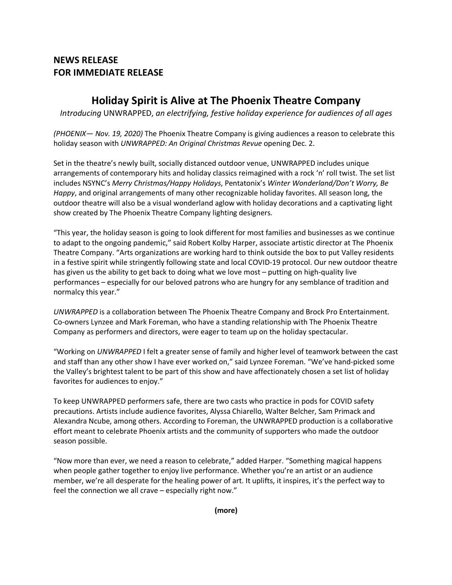## **NEWS RELEASE FOR IMMEDIATE RELEASE**

## **Holiday Spirit is Alive at The Phoenix Theatre Company**

*Introducing* UNWRAPPED, *an electrifying, festive holiday experience for audiences of all ages* 

*(PHOENIX— Nov. 19, 2020)* The Phoenix Theatre Company is giving audiences a reason to celebrate this holiday season with *UNWRAPPED: An Original Christmas Revue* opening Dec. 2.

Set in the theatre's newly built, socially distanced outdoor venue, UNWRAPPED includes unique arrangements of contemporary hits and holiday classics reimagined with a rock 'n' roll twist. The set list includes NSYNC's *Merry Christmas/Happy Holidays*, Pentatonix's *Winter Wonderland/Don't Worry, Be Happy*, and original arrangements of many other recognizable holiday favorites. All season long, the outdoor theatre will also be a visual wonderland aglow with holiday decorations and a captivating light show created by The Phoenix Theatre Company lighting designers.

"This year, the holiday season is going to look different for most families and businesses as we continue to adapt to the ongoing pandemic," said Robert Kolby Harper, associate artistic director at The Phoenix Theatre Company. "Arts organizations are working hard to think outside the box to put Valley residents in a festive spirit while stringently following state and local COVID-19 protocol. Our new outdoor theatre has given us the ability to get back to doing what we love most – putting on high-quality live performances – especially for our beloved patrons who are hungry for any semblance of tradition and normalcy this year."

*UNWRAPPED* is a collaboration between The Phoenix Theatre Company and Brock Pro Entertainment. Co-owners Lynzee and Mark Foreman, who have a standing relationship with The Phoenix Theatre Company as performers and directors, were eager to team up on the holiday spectacular.

"Working on *UNWRAPPED* I felt a greater sense of family and higher level of teamwork between the cast and staff than any other show I have ever worked on," said Lynzee Foreman. "We've hand-picked some the Valley's brightest talent to be part of this show and have affectionately chosen a set list of holiday favorites for audiences to enjoy."

To keep UNWRAPPED performers safe, there are two casts who practice in pods for COVID safety precautions. Artists include audience favorites, Alyssa Chiarello, Walter Belcher, Sam Primack and Alexandra Ncube, among others. According to Foreman, the UNWRAPPED production is a collaborative effort meant to celebrate Phoenix artists and the community of supporters who made the outdoor season possible.

"Now more than ever, we need a reason to celebrate," added Harper. "Something magical happens when people gather together to enjoy live performance. Whether you're an artist or an audience member, we're all desperate for the healing power of art. It uplifts, it inspires, it's the perfect way to feel the connection we all crave – especially right now."

**(more)**